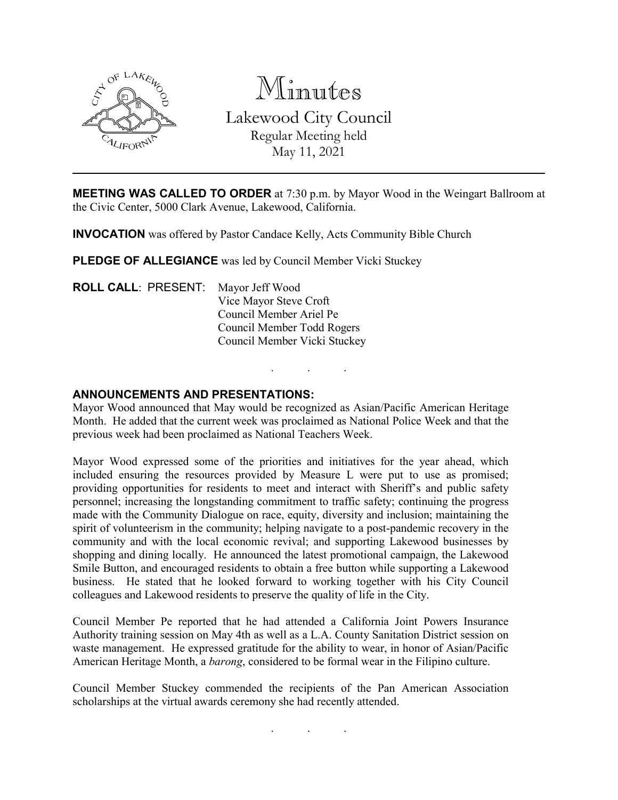

Minutes Lakewood City Council Regular Meeting held May 11, 2021

**MEETING WAS CALLED TO ORDER** at 7:30 p.m. by Mayor Wood in the Weingart Ballroom at the Civic Center, 5000 Clark Avenue, Lakewood, California.

**INVOCATION** was offered by Pastor Candace Kelly, Acts Community Bible Church

**PLEDGE OF ALLEGIANCE** was led by Council Member Vicki Stuckey

**ROLL CALL**: PRESENT: Mayor Jeff Wood Vice Mayor Steve Croft Council Member Ariel Pe Council Member Todd Rogers Council Member Vicki Stuckey

#### **ANNOUNCEMENTS AND PRESENTATIONS:**

Mayor Wood announced that May would be recognized as Asian/Pacific American Heritage Month. He added that the current week was proclaimed as National Police Week and that the previous week had been proclaimed as National Teachers Week.

. . .

Mayor Wood expressed some of the priorities and initiatives for the year ahead, which included ensuring the resources provided by Measure L were put to use as promised; providing opportunities for residents to meet and interact with Sheriff's and public safety personnel; increasing the longstanding commitment to traffic safety; continuing the progress made with the Community Dialogue on race, equity, diversity and inclusion; maintaining the spirit of volunteerism in the community; helping navigate to a post-pandemic recovery in the community and with the local economic revival; and supporting Lakewood businesses by shopping and dining locally. He announced the latest promotional campaign, the Lakewood Smile Button, and encouraged residents to obtain a free button while supporting a Lakewood business. He stated that he looked forward to working together with his City Council colleagues and Lakewood residents to preserve the quality of life in the City.

Council Member Pe reported that he had attended a California Joint Powers Insurance Authority training session on May 4th as well as a L.A. County Sanitation District session on waste management. He expressed gratitude for the ability to wear, in honor of Asian/Pacific American Heritage Month, a *barong*, considered to be formal wear in the Filipino culture.

Council Member Stuckey commended the recipients of the Pan American Association scholarships at the virtual awards ceremony she had recently attended.

. . .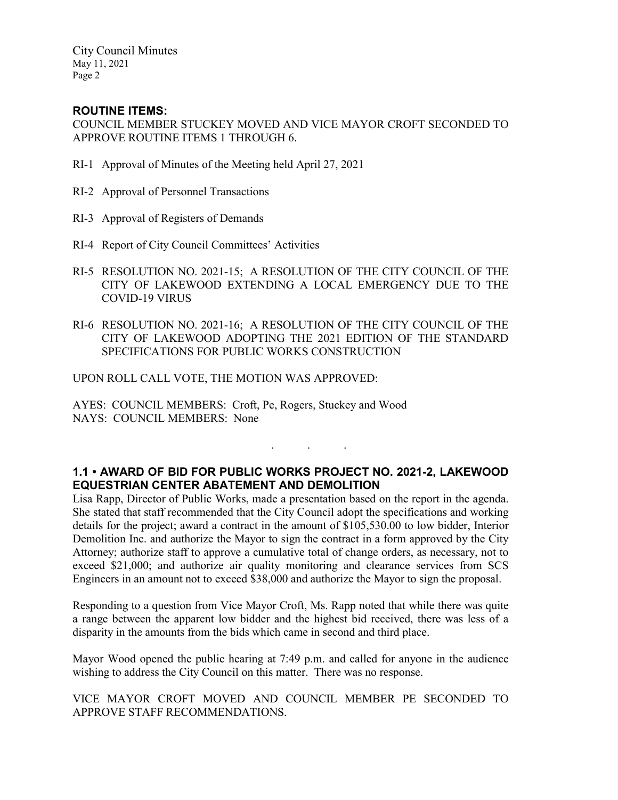City Council Minutes May 11, 2021 Page 2

## **ROUTINE ITEMS:**

COUNCIL MEMBER STUCKEY MOVED AND VICE MAYOR CROFT SECONDED TO APPROVE ROUTINE ITEMS 1 THROUGH 6.

- RI-1 Approval of Minutes of the Meeting held April 27, 2021
- RI-2 Approval of Personnel Transactions
- RI-3 Approval of Registers of Demands
- RI-4 Report of City Council Committees' Activities
- RI-5 RESOLUTION NO. 2021-15; A RESOLUTION OF THE CITY COUNCIL OF THE CITY OF LAKEWOOD EXTENDING A LOCAL EMERGENCY DUE TO THE COVID-19 VIRUS
- RI-6 RESOLUTION NO. 2021-16; A RESOLUTION OF THE CITY COUNCIL OF THE CITY OF LAKEWOOD ADOPTING THE 2021 EDITION OF THE STANDARD SPECIFICATIONS FOR PUBLIC WORKS CONSTRUCTION

UPON ROLL CALL VOTE, THE MOTION WAS APPROVED:

AYES: COUNCIL MEMBERS: Croft, Pe, Rogers, Stuckey and Wood NAYS: COUNCIL MEMBERS: None

# **1.1 • AWARD OF BID FOR PUBLIC WORKS PROJECT NO. 2021-2, LAKEWOOD EQUESTRIAN CENTER ABATEMENT AND DEMOLITION**

. . .

Lisa Rapp, Director of Public Works, made a presentation based on the report in the agenda. She stated that staff recommended that the City Council adopt the specifications and working details for the project; award a contract in the amount of \$105,530.00 to low bidder, Interior Demolition Inc. and authorize the Mayor to sign the contract in a form approved by the City Attorney; authorize staff to approve a cumulative total of change orders, as necessary, not to exceed \$21,000; and authorize air quality monitoring and clearance services from SCS Engineers in an amount not to exceed \$38,000 and authorize the Mayor to sign the proposal.

Responding to a question from Vice Mayor Croft, Ms. Rapp noted that while there was quite a range between the apparent low bidder and the highest bid received, there was less of a disparity in the amounts from the bids which came in second and third place.

Mayor Wood opened the public hearing at 7:49 p.m. and called for anyone in the audience wishing to address the City Council on this matter. There was no response.

VICE MAYOR CROFT MOVED AND COUNCIL MEMBER PE SECONDED TO APPROVE STAFF RECOMMENDATIONS.